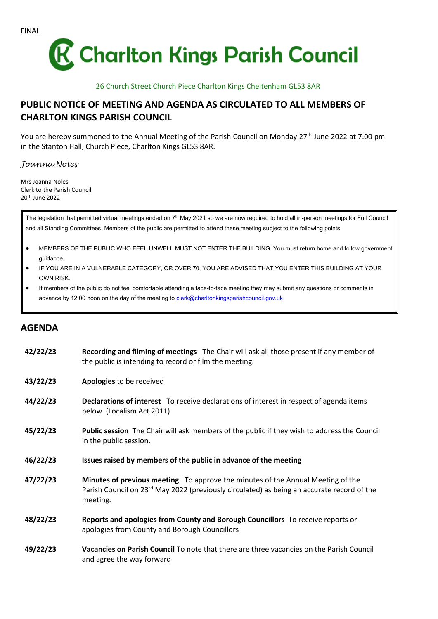

26 Church Street Church Piece Charlton Kings Cheltenham GL53 8AR

## **PUBLIC NOTICE OF MEETING AND AGENDA AS CIRCULATED TO ALL MEMBERS OF CHARLTON KINGS PARISH COUNCIL**

You are hereby summoned to the Annual Meeting of the Parish Council on Monday 27<sup>th</sup> June 2022 at 7.00 pm in the Stanton Hall, Church Piece, Charlton Kings GL53 8AR.

*Joanna Noles*

Mrs Joanna Noles Clerk to the Parish Council 20th June 2022

The legislation that permitted virtual meetings ended on 7<sup>th</sup> May 2021 so we are now required to hold all in-person meetings for Full Council and all Standing Committees. Members of the public are permitted to attend these meeting subject to the following points.

- MEMBERS OF THE PUBLIC WHO FEEL UNWELL MUST NOT ENTER THE BUILDING. You must return home and follow government guidance.
- IF YOU ARE IN A VULNERABLE CATEGORY, OR OVER 70, YOU ARE ADVISED THAT YOU ENTER THIS BUILDING AT YOUR OWN RISK.
- If members of the public do not feel comfortable attending a face-to-face meeting they may submit any questions or comments in advance by 12.00 noon on the day of the meeting to [clerk@charltonkingsparishcouncil.gov.uk](mailto:clerk@charltonkingsparishcouncil.gov.uk)

## **AGENDA**

| 42/22/23 | Recording and filming of meetings The Chair will ask all those present if any member of<br>the public is intending to record or film the meeting.                                                     |
|----------|-------------------------------------------------------------------------------------------------------------------------------------------------------------------------------------------------------|
| 43/22/23 | Apologies to be received                                                                                                                                                                              |
| 44/22/23 | Declarations of interest To receive declarations of interest in respect of agenda items<br>below (Localism Act 2011)                                                                                  |
| 45/22/23 | Public session The Chair will ask members of the public if they wish to address the Council<br>in the public session.                                                                                 |
| 46/22/23 | Issues raised by members of the public in advance of the meeting                                                                                                                                      |
| 47/22/23 | Minutes of previous meeting To approve the minutes of the Annual Meeting of the<br>Parish Council on 23 <sup>rd</sup> May 2022 (previously circulated) as being an accurate record of the<br>meeting. |
| 48/22/23 | Reports and apologies from County and Borough Councillors To receive reports or<br>apologies from County and Borough Councillors                                                                      |
| 49/22/23 | Vacancies on Parish Council To note that there are three vacancies on the Parish Council<br>and agree the way forward                                                                                 |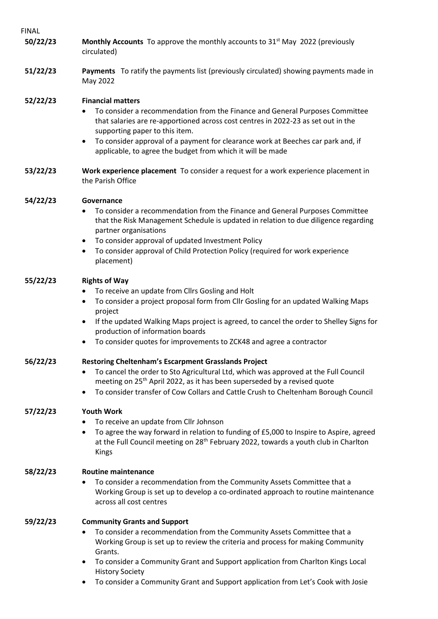| 'INAL    |                                                                                                                                                                                                                                                                                                                                                                                                                    |
|----------|--------------------------------------------------------------------------------------------------------------------------------------------------------------------------------------------------------------------------------------------------------------------------------------------------------------------------------------------------------------------------------------------------------------------|
| 50/22/23 | Monthly Accounts To approve the monthly accounts to 31 <sup>st</sup> May 2022 (previously<br>circulated)                                                                                                                                                                                                                                                                                                           |
| 51/22/23 | Payments To ratify the payments list (previously circulated) showing payments made in<br>May 2022                                                                                                                                                                                                                                                                                                                  |
| 52/22/23 | <b>Financial matters</b><br>To consider a recommendation from the Finance and General Purposes Committee<br>that salaries are re-apportioned across cost centres in 2022-23 as set out in the<br>supporting paper to this item.<br>To consider approval of a payment for clearance work at Beeches car park and, if<br>٠<br>applicable, to agree the budget from which it will be made                             |
| 53/22/23 | Work experience placement To consider a request for a work experience placement in<br>the Parish Office                                                                                                                                                                                                                                                                                                            |
| 54/22/23 | Governance<br>To consider a recommendation from the Finance and General Purposes Committee<br>that the Risk Management Schedule is updated in relation to due diligence regarding<br>partner organisations<br>To consider approval of updated Investment Policy<br>$\bullet$<br>To consider approval of Child Protection Policy (required for work experience<br>٠<br>placement)                                   |
| 55/22/23 | <b>Rights of Way</b><br>To receive an update from Cllrs Gosling and Holt<br>To consider a project proposal form from Cllr Gosling for an updated Walking Maps<br>project<br>If the updated Walking Maps project is agreed, to cancel the order to Shelley Signs for<br>٠<br>production of information boards<br>To consider quotes for improvements to ZCK48 and agree a contractor<br>٠                           |
| 56/22/23 | <b>Restoring Cheltenham's Escarpment Grasslands Project</b><br>To cancel the order to Sto Agricultural Ltd, which was approved at the Full Council<br>meeting on 25 <sup>th</sup> April 2022, as it has been superseded by a revised quote<br>To consider transfer of Cow Collars and Cattle Crush to Cheltenham Borough Council<br>٠                                                                              |
| 57/22/23 | <b>Youth Work</b><br>To receive an update from Cllr Johnson<br>To agree the way forward in relation to funding of £5,000 to Inspire to Aspire, agreed<br>٠<br>at the Full Council meeting on 28 <sup>th</sup> February 2022, towards a youth club in Charlton<br>Kings                                                                                                                                             |
| 58/22/23 | <b>Routine maintenance</b><br>To consider a recommendation from the Community Assets Committee that a<br>Working Group is set up to develop a co-ordinated approach to routine maintenance<br>across all cost centres                                                                                                                                                                                              |
| 59/22/23 | <b>Community Grants and Support</b><br>To consider a recommendation from the Community Assets Committee that a<br>Working Group is set up to review the criteria and process for making Community<br>Grants.<br>To consider a Community Grant and Support application from Charlton Kings Local<br>٠<br><b>History Society</b><br>To consider a Community Grant and Support application from Let's Cook with Josie |